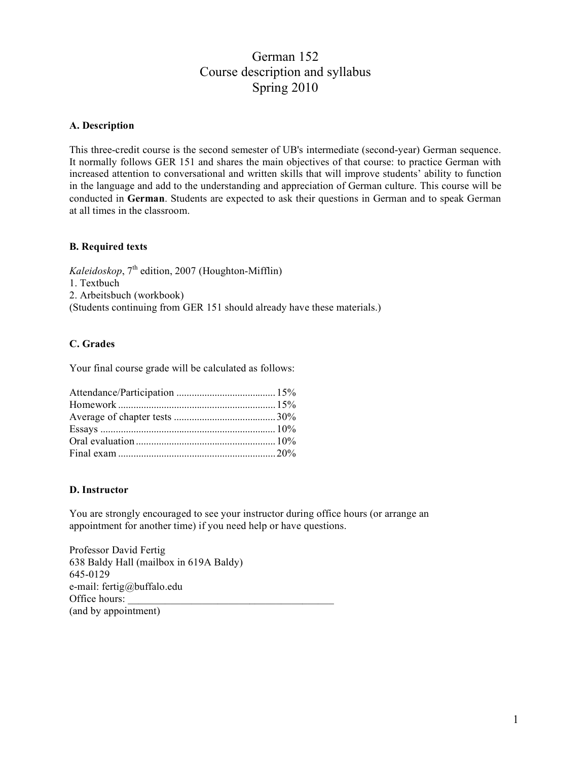# German 152 Course description and syllabus Spring 2010

### **A. Description**

This three-credit course is the second semester of UB's intermediate (second-year) German sequence. It normally follows GER 151 and shares the main objectives of that course: to practice German with increased attention to conversational and written skills that will improve students' ability to function in the language and add to the understanding and appreciation of German culture. This course will be conducted in **German**. Students are expected to ask their questions in German and to speak German at all times in the classroom.

### **B. Required texts**

 $Kaleidoskop$ ,  $7<sup>th</sup>$  edition, 2007 (Houghton-Mifflin) 1. Textbuch 2. Arbeitsbuch (workbook) (Students continuing from GER 151 should already have these materials.)

### **C. Grades**

Your final course grade will be calculated as follows:

### **D. Instructor**

You are strongly encouraged to see your instructor during office hours (or arrange an appointment for another time) if you need help or have questions.

Professor David Fertig 638 Baldy Hall (mailbox in 619A Baldy) 645-0129 e-mail: fertig@buffalo.edu Office hours: (and by appointment)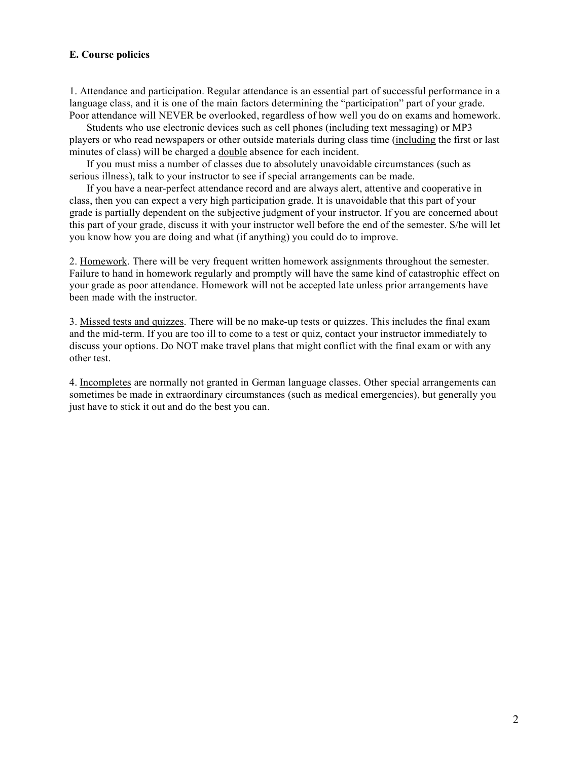### **E. Course policies**

1. Attendance and participation. Regular attendance is an essential part of successful performance in a language class, and it is one of the main factors determining the "participation" part of your grade. Poor attendance will NEVER be overlooked, regardless of how well you do on exams and homework.

Students who use electronic devices such as cell phones (including text messaging) or MP3 players or who read newspapers or other outside materials during class time (including the first or last minutes of class) will be charged a double absence for each incident.

If you must miss a number of classes due to absolutely unavoidable circumstances (such as serious illness), talk to your instructor to see if special arrangements can be made.

If you have a near-perfect attendance record and are always alert, attentive and cooperative in class, then you can expect a very high participation grade. It is unavoidable that this part of your grade is partially dependent on the subjective judgment of your instructor. If you are concerned about this part of your grade, discuss it with your instructor well before the end of the semester. S/he will let you know how you are doing and what (if anything) you could do to improve.

2. Homework. There will be very frequent written homework assignments throughout the semester. Failure to hand in homework regularly and promptly will have the same kind of catastrophic effect on your grade as poor attendance. Homework will not be accepted late unless prior arrangements have been made with the instructor.

3. Missed tests and quizzes. There will be no make-up tests or quizzes. This includes the final exam and the mid-term. If you are too ill to come to a test or quiz, contact your instructor immediately to discuss your options. Do NOT make travel plans that might conflict with the final exam or with any other test.

4. Incompletes are normally not granted in German language classes. Other special arrangements can sometimes be made in extraordinary circumstances (such as medical emergencies), but generally you just have to stick it out and do the best you can.